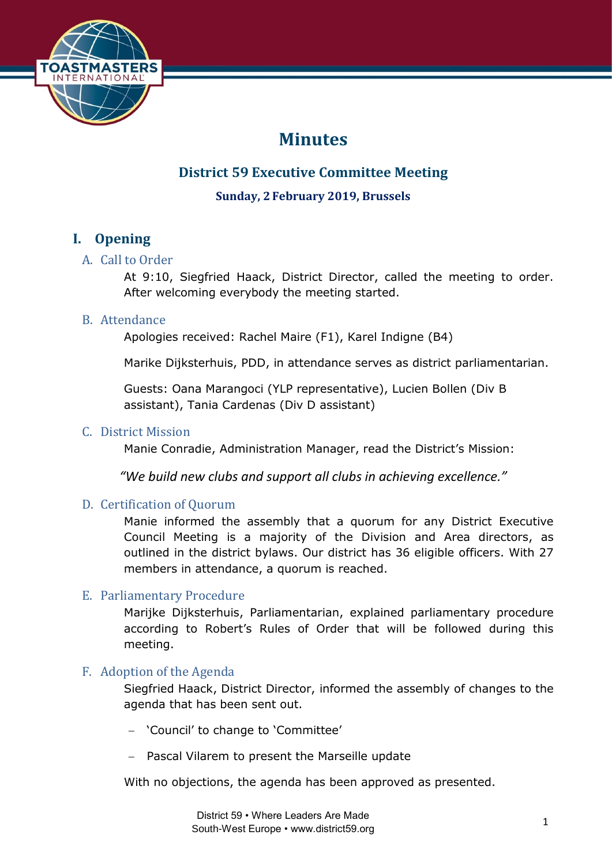

# **Minutes**

# **District 59 Executive Committee Meeting**

# **Sunday, 2February 2019, Brussels**

# **I. Opening**

# A. Call to Order

At 9:10, Siegfried Haack, District Director, called the meeting to order. After welcoming everybody the meeting started.

# B. Attendance

Apologies received: Rachel Maire (F1), Karel Indigne (B4)

Marike Dijksterhuis, PDD, in attendance serves as district parliamentarian.

Guests: Oana Marangoci (YLP representative), Lucien Bollen (Div B assistant), Tania Cardenas (Div D assistant)

# C. District Mission

Manie Conradie, Administration Manager, read the District's Mission:

*"We build new clubs and support all clubs in achieving excellence."*

# D. Certification of Quorum

Manie informed the assembly that a quorum for any District Executive Council Meeting is a majority of the Division and Area directors, as outlined in the district bylaws. Our district has 36 eligible officers. With 27 members in attendance, a quorum is reached.

# E. Parliamentary Procedure

Marijke Dijksterhuis, Parliamentarian, explained parliamentary procedure according to Robert's Rules of Order that will be followed during this meeting.

# F. Adoption of the Agenda

Siegfried Haack, District Director, informed the assembly of changes to the agenda that has been sent out.

- − 'Council' to change to 'Committee'
- − Pascal Vilarem to present the Marseille update

With no objections, the agenda has been approved as presented.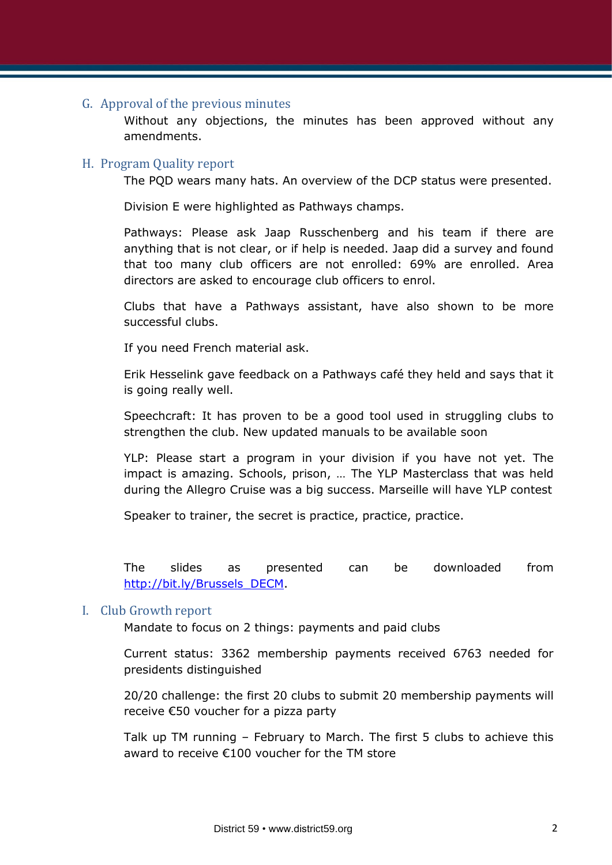## G. Approval of the previous minutes

Without any objections, the minutes has been approved without any amendments.

#### H. Program Quality report

The PQD wears many hats. An overview of the DCP status were presented.

Division E were highlighted as Pathways champs.

Pathways: Please ask Jaap Russchenberg and his team if there are anything that is not clear, or if help is needed. Jaap did a survey and found that too many club officers are not enrolled: 69% are enrolled. Area directors are asked to encourage club officers to enrol.

Clubs that have a Pathways assistant, have also shown to be more successful clubs.

If you need French material ask.

Erik Hesselink gave feedback on a Pathways café they held and says that it is going really well.

Speechcraft: It has proven to be a good tool used in struggling clubs to strengthen the club. New updated manuals to be available soon

YLP: Please start a program in your division if you have not yet. The impact is amazing. Schools, prison, … The YLP Masterclass that was held during the Allegro Cruise was a big success. Marseille will have YLP contest

Speaker to trainer, the secret is practice, practice, practice.

The slides as presented can be downloaded from [http://bit.ly/Brussels\\_DECM.](http://bit.ly/Brussels_DECM)

## I. Club Growth report

Mandate to focus on 2 things: payments and paid clubs

Current status: 3362 membership payments received 6763 needed for presidents distinguished

20/20 challenge: the first 20 clubs to submit 20 membership payments will receive €50 voucher for a pizza party

Talk up TM running – February to March. The first 5 clubs to achieve this award to receive €100 voucher for the TM store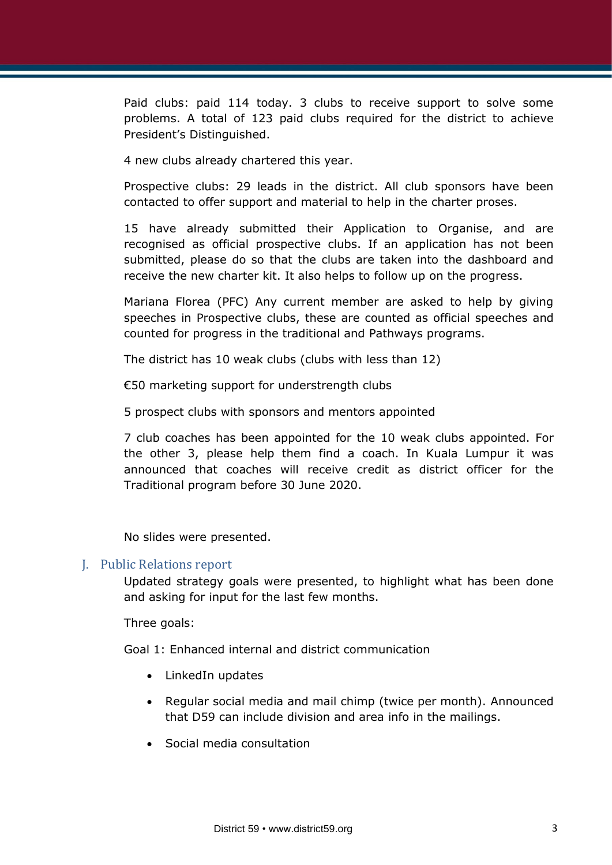Paid clubs: paid 114 today. 3 clubs to receive support to solve some problems. A total of 123 paid clubs required for the district to achieve President's Distinguished.

4 new clubs already chartered this year.

Prospective clubs: 29 leads in the district. All club sponsors have been contacted to offer support and material to help in the charter proses.

15 have already submitted their Application to Organise, and are recognised as official prospective clubs. If an application has not been submitted, please do so that the clubs are taken into the dashboard and receive the new charter kit. It also helps to follow up on the progress.

Mariana Florea (PFC) Any current member are asked to help by giving speeches in Prospective clubs, these are counted as official speeches and counted for progress in the traditional and Pathways programs.

The district has 10 weak clubs (clubs with less than 12)

€50 marketing support for understrength clubs

5 prospect clubs with sponsors and mentors appointed

7 club coaches has been appointed for the 10 weak clubs appointed. For the other 3, please help them find a coach. In Kuala Lumpur it was announced that coaches will receive credit as district officer for the Traditional program before 30 June 2020.

No slides were presented.

## J. Public Relations report

Updated strategy goals were presented, to highlight what has been done and asking for input for the last few months.

Three goals:

Goal 1: Enhanced internal and district communication

- LinkedIn updates
- Regular social media and mail chimp (twice per month). Announced that D59 can include division and area info in the mailings.
- Social media consultation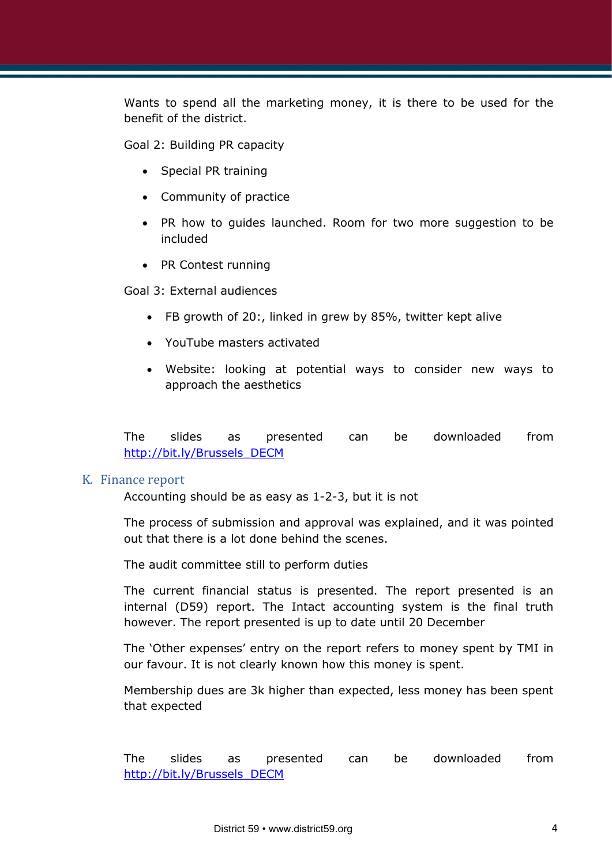Wants to spend all the marketing money, it is there to be used for the benefit of the district.

Goal 2: Building PR capacity

- Special PR training
- Community of practice
- PR how to guides launched. Room for two more suggestion to be included
- PR Contest running

Goal 3: External audiences

- FB growth of 20:, linked in grew by 85%, twitter kept alive
- YouTube masters activated
- Website: looking at potential ways to consider new ways to approach the aesthetics

The slides as presented can be downloaded from [http://bit.ly/Brussels\\_DECM](http://bit.ly/Brussels_DECM)

## K. Finance report

Accounting should be as easy as 1-2-3, but it is not

The process of submission and approval was explained, and it was pointed out that there is a lot done behind the scenes.

The audit committee still to perform duties

The current financial status is presented. The report presented is an internal (D59) report. The Intact accounting system is the final truth however. The report presented is up to date until 20 December

The 'Other expenses' entry on the report refers to money spent by TMI in our favour. It is not clearly known how this money is spent.

Membership dues are 3k higher than expected, less money has been spent that expected

The slides as presented can be downloaded from [http://bit.ly/Brussels\\_DECM](http://bit.ly/Brussels_DECM)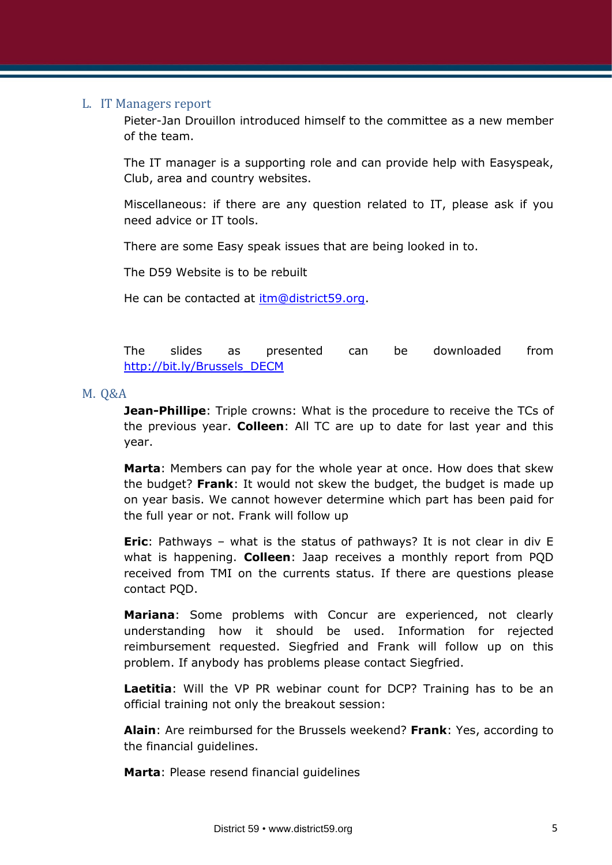## L. IT Managers report

Pieter-Jan Drouillon introduced himself to the committee as a new member of the team.

The IT manager is a supporting role and can provide help with Easyspeak, Club, area and country websites.

Miscellaneous: if there are any question related to IT, please ask if you need advice or IT tools.

There are some Easy speak issues that are being looked in to.

The D59 Website is to be rebuilt

He can be contacted at [itm@district59.org.](mailto:itm@district59.org)

The slides as presented can be downloaded from [http://bit.ly/Brussels\\_DECM](http://bit.ly/Brussels_DECM)

#### M. Q&A

**Jean-Phillipe**: Triple crowns: What is the procedure to receive the TCs of the previous year. **Colleen**: All TC are up to date for last year and this year.

**Marta**: Members can pay for the whole year at once. How does that skew the budget? **Frank**: It would not skew the budget, the budget is made up on year basis. We cannot however determine which part has been paid for the full year or not. Frank will follow up

**Eric**: Pathways – what is the status of pathways? It is not clear in div E what is happening. **Colleen**: Jaap receives a monthly report from PQD received from TMI on the currents status. If there are questions please contact PQD.

**Mariana**: Some problems with Concur are experienced, not clearly understanding how it should be used. Information for rejected reimbursement requested. Siegfried and Frank will follow up on this problem. If anybody has problems please contact Siegfried.

**Laetitia**: Will the VP PR webinar count for DCP? Training has to be an official training not only the breakout session:

**Alain**: Are reimbursed for the Brussels weekend? **Frank**: Yes, according to the financial guidelines.

**Marta**: Please resend financial guidelines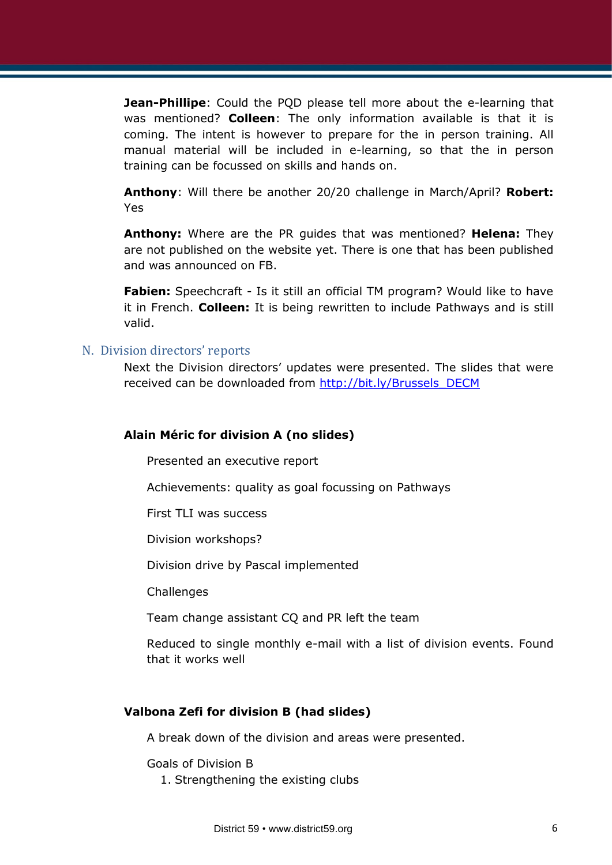**Jean-Phillipe**: Could the PQD please tell more about the e-learning that was mentioned? **Colleen**: The only information available is that it is coming. The intent is however to prepare for the in person training. All manual material will be included in e-learning, so that the in person training can be focussed on skills and hands on.

**Anthony**: Will there be another 20/20 challenge in March/April? **Robert:** Yes

**Anthony:** Where are the PR guides that was mentioned? **Helena:** They are not published on the website yet. There is one that has been published and was announced on FB.

**Fabien:** Speechcraft - Is it still an official TM program? Would like to have it in French. **Colleen:** It is being rewritten to include Pathways and is still valid.

### N. Division directors' reports

Next the Division directors' updates were presented. The slides that were received can be downloaded from [http://bit.ly/Brussels\\_DECM](http://bit.ly/Brussels_DECM)

## **Alain Méric for division A (no slides)**

Presented an executive report

Achievements: quality as goal focussing on Pathways

First TLI was success

Division workshops?

Division drive by Pascal implemented

**Challenges** 

Team change assistant CQ and PR left the team

Reduced to single monthly e-mail with a list of division events. Found that it works well

#### **Valbona Zefi for division B (had slides)**

A break down of the division and areas were presented.

Goals of Division B

1. Strengthening the existing clubs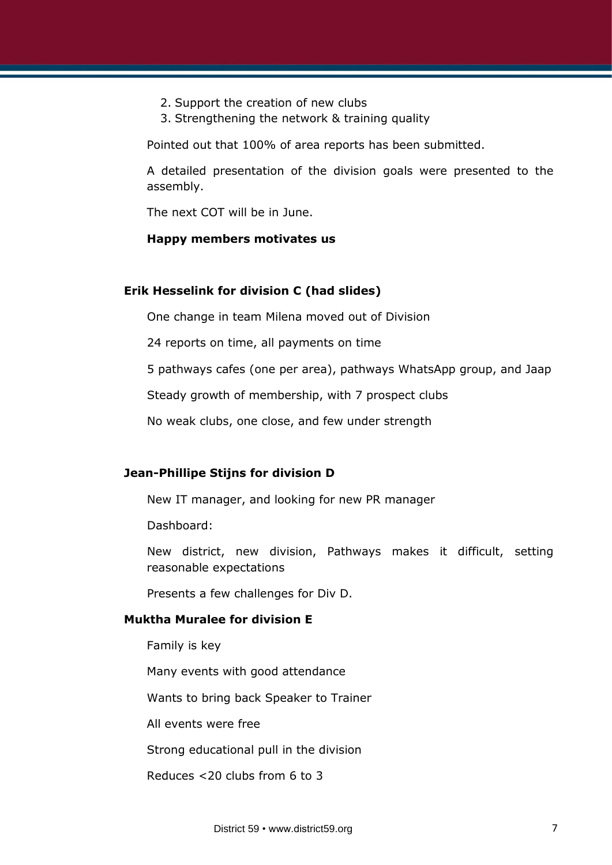- 2. Support the creation of new clubs
- 3. Strengthening the network & training quality

Pointed out that 100% of area reports has been submitted.

A detailed presentation of the division goals were presented to the assembly.

The next COT will be in June.

#### **Happy members motivates us**

#### **Erik Hesselink for division C (had slides)**

One change in team Milena moved out of Division

24 reports on time, all payments on time

5 pathways cafes (one per area), pathways WhatsApp group, and Jaap

Steady growth of membership, with 7 prospect clubs

No weak clubs, one close, and few under strength

#### **Jean-Phillipe Stijns for division D**

New IT manager, and looking for new PR manager

Dashboard:

New district, new division, Pathways makes it difficult, setting reasonable expectations

Presents a few challenges for Div D.

## **Muktha Muralee for division E**

Family is key

Many events with good attendance

Wants to bring back Speaker to Trainer

All events were free

Strong educational pull in the division

Reduces <20 clubs from 6 to 3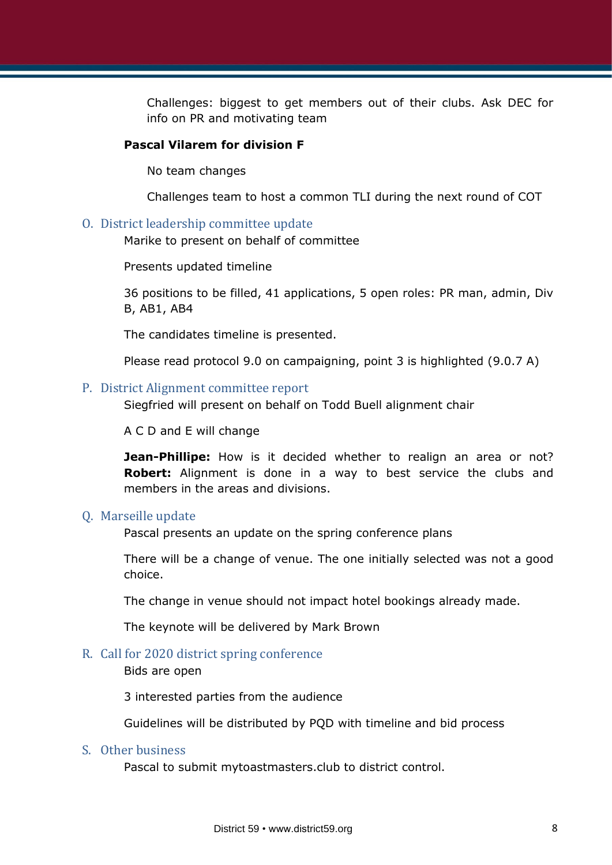Challenges: biggest to get members out of their clubs. Ask DEC for info on PR and motivating team

#### **Pascal Vilarem for division F**

No team changes

Challenges team to host a common TLI during the next round of COT

#### O. District leadership committee update

Marike to present on behalf of committee

#### Presents updated timeline

36 positions to be filled, 41 applications, 5 open roles: PR man, admin, Div B, AB1, AB4

The candidates timeline is presented.

Please read protocol 9.0 on campaigning, point 3 is highlighted (9.0.7 A)

#### P. District Alignment committee report

Siegfried will present on behalf on Todd Buell alignment chair

A C D and E will change

**Jean-Phillipe:** How is it decided whether to realign an area or not? **Robert:** Alignment is done in a way to best service the clubs and members in the areas and divisions.

#### Q. Marseille update

Pascal presents an update on the spring conference plans

There will be a change of venue. The one initially selected was not a good choice.

The change in venue should not impact hotel bookings already made.

The keynote will be delivered by Mark Brown

#### R. Call for 2020 district spring conference

## Bids are open

3 interested parties from the audience

Guidelines will be distributed by PQD with timeline and bid process

## S. Other business

Pascal to submit mytoastmasters.club to district control.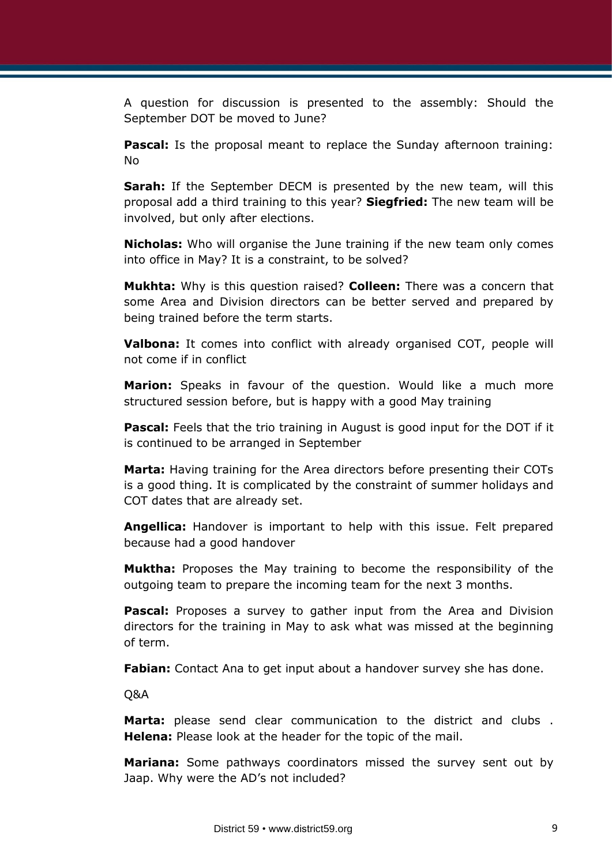A question for discussion is presented to the assembly: Should the September DOT be moved to June?

**Pascal:** Is the proposal meant to replace the Sunday afternoon training: No

**Sarah:** If the September DECM is presented by the new team, will this proposal add a third training to this year? **Siegfried:** The new team will be involved, but only after elections.

**Nicholas:** Who will organise the June training if the new team only comes into office in May? It is a constraint, to be solved?

**Mukhta:** Why is this question raised? **Colleen:** There was a concern that some Area and Division directors can be better served and prepared by being trained before the term starts.

**Valbona:** It comes into conflict with already organised COT, people will not come if in conflict

**Marion:** Speaks in favour of the question. Would like a much more structured session before, but is happy with a good May training

**Pascal:** Feels that the trio training in August is good input for the DOT if it is continued to be arranged in September

**Marta:** Having training for the Area directors before presenting their COTs is a good thing. It is complicated by the constraint of summer holidays and COT dates that are already set.

**Angellica:** Handover is important to help with this issue. Felt prepared because had a good handover

**Muktha:** Proposes the May training to become the responsibility of the outgoing team to prepare the incoming team for the next 3 months.

**Pascal:** Proposes a survey to gather input from the Area and Division directors for the training in May to ask what was missed at the beginning of term.

**Fabian:** Contact Ana to get input about a handover survey she has done.

Q&A

**Marta:** please send clear communication to the district and clubs . **Helena:** Please look at the header for the topic of the mail.

**Mariana:** Some pathways coordinators missed the survey sent out by Jaap. Why were the AD's not included?